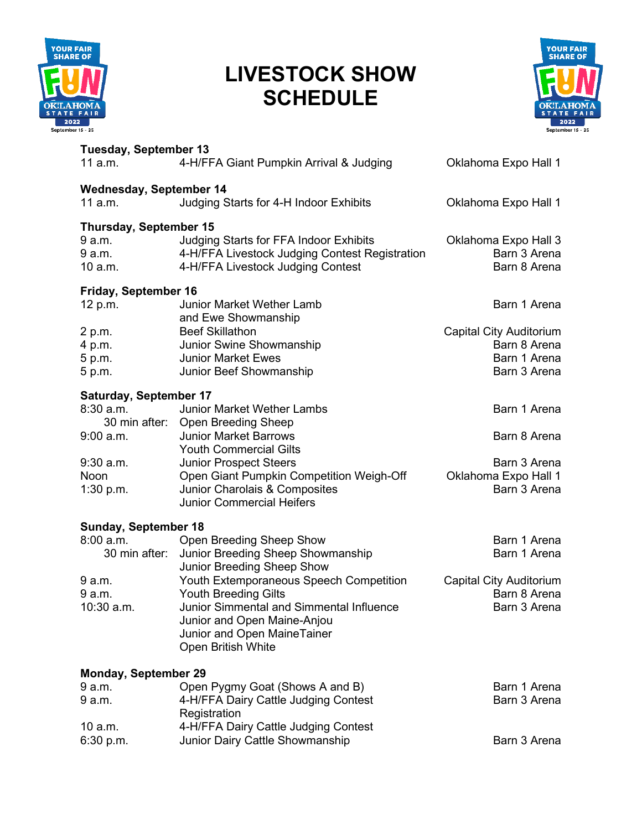

## **LIVESTOCK SHOW SCHEDULE**



| <b>Tuesday, September 13</b><br>11 a.m. | 4-H/FFA Giant Pumpkin Arrival & Judging                                                  | Oklahoma Expo Hall 1                 |
|-----------------------------------------|------------------------------------------------------------------------------------------|--------------------------------------|
| <b>Wednesday, September 14</b>          |                                                                                          |                                      |
| 11 a.m.                                 | Judging Starts for 4-H Indoor Exhibits                                                   | Oklahoma Expo Hall 1                 |
| <b>Thursday, September 15</b>           |                                                                                          |                                      |
| 9 a.m.<br>9 a.m.                        | Judging Starts for FFA Indoor Exhibits<br>4-H/FFA Livestock Judging Contest Registration | Oklahoma Expo Hall 3<br>Barn 3 Arena |
| 10 a.m.                                 | 4-H/FFA Livestock Judging Contest                                                        | Barn 8 Arena                         |
| Friday, September 16                    |                                                                                          |                                      |
| 12 p.m.                                 | <b>Junior Market Wether Lamb</b>                                                         | Barn 1 Arena                         |
| 2 p.m.                                  | and Ewe Showmanship<br><b>Beef Skillathon</b>                                            | <b>Capital City Auditorium</b>       |
| 4 p.m.                                  | Junior Swine Showmanship                                                                 | Barn 8 Arena                         |
| 5 p.m.                                  | <b>Junior Market Ewes</b>                                                                | Barn 1 Arena                         |
| 5 p.m.                                  | Junior Beef Showmanship                                                                  | Barn 3 Arena                         |
| <b>Saturday, September 17</b>           |                                                                                          |                                      |
| $8:30$ a.m.                             | <b>Junior Market Wether Lambs</b>                                                        | Barn 1 Arena                         |
|                                         | 30 min after: Open Breeding Sheep                                                        |                                      |
| $9:00$ a.m.                             | <b>Junior Market Barrows</b>                                                             | Barn 8 Arena                         |
|                                         | <b>Youth Commercial Gilts</b>                                                            |                                      |
| $9:30$ a.m.                             | <b>Junior Prospect Steers</b>                                                            | Barn 3 Arena                         |
| Noon                                    | Open Giant Pumpkin Competition Weigh-Off                                                 | Oklahoma Expo Hall 1                 |
| 1:30 p.m.                               | Junior Charolais & Composites                                                            | Barn 3 Arena                         |
|                                         | <b>Junior Commercial Heifers</b>                                                         |                                      |
| Sunday, September 18                    |                                                                                          |                                      |
| 8:00 a.m.                               | Open Breeding Sheep Show                                                                 | Barn 1 Arena                         |
| 30 min after:                           | Junior Breeding Sheep Showmanship<br>Junior Breeding Sheep Show                          | Barn 1 Arena                         |
| 9 a.m.                                  | <b>Youth Extemporaneous Speech Competition</b>                                           | <b>Capital City Auditorium</b>       |
| 9 a.m.                                  | <b>Youth Breeding Gilts</b>                                                              | Barn 8 Arena                         |
| 10:30 a.m.                              | Junior Simmental and Simmental Influence                                                 | Barn 3 Arena                         |
|                                         | Junior and Open Maine-Anjou                                                              |                                      |
|                                         | Junior and Open MaineTainer                                                              |                                      |
|                                         | Open British White                                                                       |                                      |
| <b>Monday, September 29</b>             |                                                                                          |                                      |
| 9 a.m.                                  | Open Pygmy Goat (Shows A and B)                                                          | Barn 1 Arena                         |
| 9 a.m.                                  | 4-H/FFA Dairy Cattle Judging Contest                                                     | Barn 3 Arena                         |
|                                         | Registration                                                                             |                                      |

6:30 p.m. Junior Dairy Cattle Showmanship Barn 3 Arena

10 a.m. 4-H/FFA Dairy Cattle Judging Contest